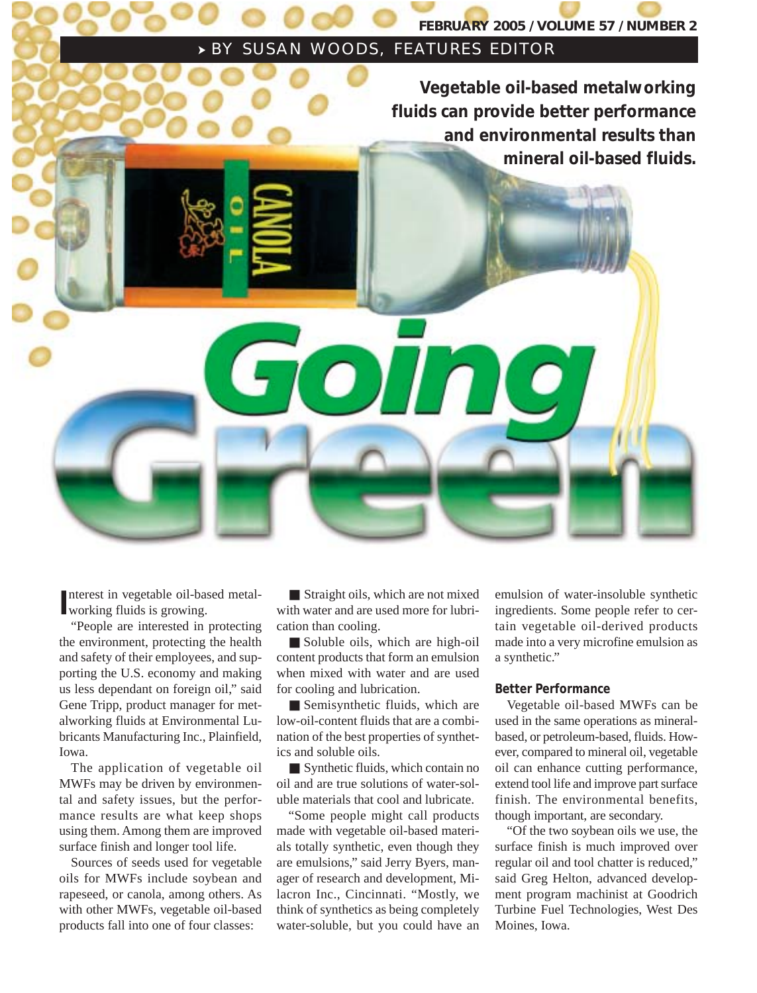### **FEBRUARY 2005 / VOLUME 57 / NUMBER 2**

## SUSAN WOODS, FEATURES EDITOR

**Vegetable oil-based metalworking fluids can provide better performance and environmental results than mineral oil-based fluids.**

Interest in vegetable oil-band<br>working fluids is growing. nterest in vegetable oil-based metal-

"People are interested in protecting the environment, protecting the health and safety of their employees, and supporting the U.S. economy and making us less dependant on foreign oil," said Gene Tripp, product manager for metalworking fluids at Environmental Lubricants Manufacturing Inc., Plainfield, Iowa.

The application of vegetable oil MWFs may be driven by environmental and safety issues, but the performance results are what keep shops using them. Among them are improved surface finish and longer tool life.

Sources of seeds used for vegetable oils for MWFs include soybean and rapeseed, or canola, among others. As with other MWFs, vegetable oil-based products fall into one of four classes:

■ Straight oils, which are not mixed with water and are used more for lubrication than cooling.

iolin

■ Soluble oils, which are high-oil content products that form an emulsion when mixed with water and are used for cooling and lubrication.

■ Semisynthetic fluids, which are low-oil-content fluids that are a combination of the best properties of synthetics and soluble oils.

■ Synthetic fluids, which contain no oil and are true solutions of water-soluble materials that cool and lubricate.

"Some people might call products made with vegetable oil-based materials totally synthetic, even though they are emulsions," said Jerry Byers, manager of research and development, Milacron Inc., Cincinnati. "Mostly, we think of synthetics as being completely water-soluble, but you could have an emulsion of water-insoluble synthetic ingredients. Some people refer to certain vegetable oil-derived products made into a very microfine emulsion as a synthetic."

#### **Better Performance**

Vegetable oil-based MWFs can be used in the same operations as mineralbased, or petroleum-based, fluids. However, compared to mineral oil, vegetable oil can enhance cutting performance, extend tool life and improve part surface finish. The environmental benefits, though important, are secondary.

"Of the two soybean oils we use, the surface finish is much improved over regular oil and tool chatter is reduced," said Greg Helton, advanced development program machinist at Goodrich Turbine Fuel Technologies, West Des Moines, Iowa.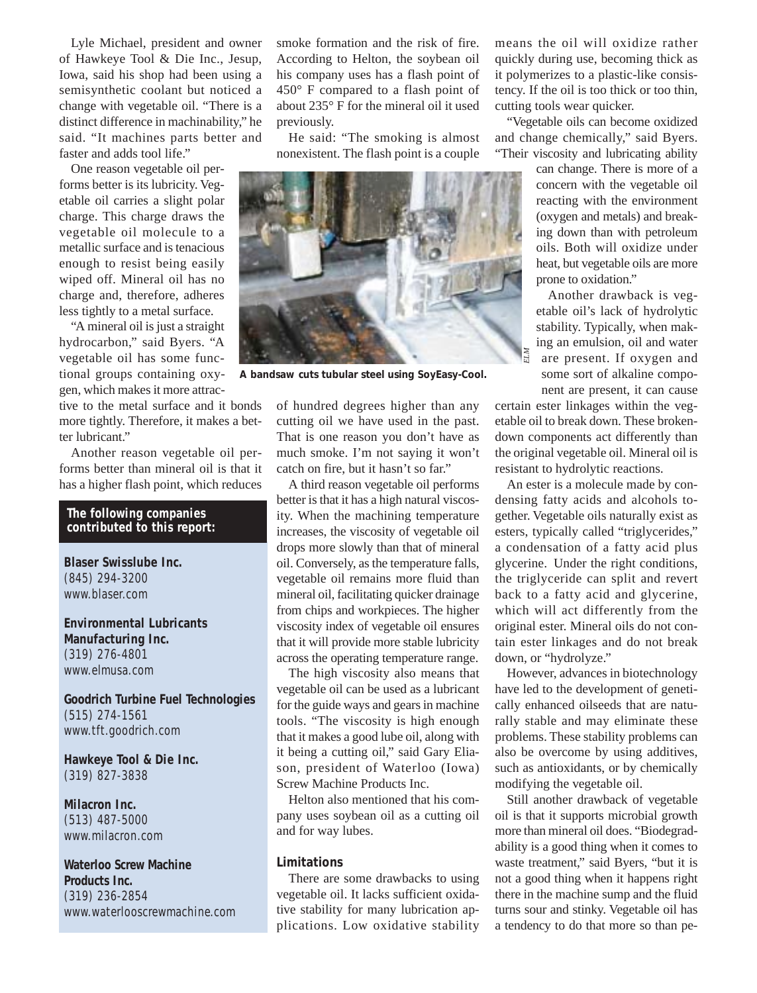Lyle Michael, president and owner of Hawkeye Tool & Die Inc., Jesup, Iowa, said his shop had been using a semisynthetic coolant but noticed a change with vegetable oil. "There is a distinct difference in machinability," he said. "It machines parts better and faster and adds tool life."

One reason vegetable oil performs better is its lubricity. Vegetable oil carries a slight polar charge. This charge draws the vegetable oil molecule to a metallic surface and is tenacious enough to resist being easily wiped off. Mineral oil has no charge and, therefore, adheres less tightly to a metal surface.

"A mineral oil is just a straight hydrocarbon," said Byers. "A vegetable oil has some functional groups containing oxygen, which makes it more attrac-

tive to the metal surface and it bonds more tightly. Therefore, it makes a better lubricant."

Another reason vegetable oil performs better than mineral oil is that it has a higher flash point, which reduces

#### **The following companies contributed to this report:**

**Blaser Swisslube Inc.** (845) 294-3200 www.blaser.com

**Environmental Lubricants Manufacturing Inc.** (319) 276-4801 www.elmusa.com

**Goodrich Turbine Fuel Technologies** (515) 274-1561 www.tft.goodrich.com

**Hawkeye Tool & Die Inc.** (319) 827-3838

**Milacron Inc.** (513) 487-5000 www.milacron.com

**Waterloo Screw Machine Products Inc.** (319) 236-2854 www.waterlooscrewmachine.com smoke formation and the risk of fire. According to Helton, the soybean oil his company uses has a flash point of 450° F compared to a flash point of about 235° F for the mineral oil it used previously.

He said: "The smoking is almost nonexistent. The flash point is a couple



A bandsaw cuts tubular steel using SoyEasy-Cool.

of hundred degrees higher than any cutting oil we have used in the past. That is one reason you don't have as much smoke. I'm not saying it won't catch on fire, but it hasn't so far."

A third reason vegetable oil performs better is that it has a high natural viscosity. When the machining temperature increases, the viscosity of vegetable oil drops more slowly than that of mineral oil. Conversely, as the temperature falls, vegetable oil remains more fluid than mineral oil, facilitating quicker drainage from chips and workpieces. The higher viscosity index of vegetable oil ensures that it will provide more stable lubricity across the operating temperature range.

The high viscosity also means that vegetable oil can be used as a lubricant for the guide ways and gears in machine tools. "The viscosity is high enough that it makes a good lube oil, along with it being a cutting oil," said Gary Eliason, president of Waterloo (Iowa) Screw Machine Products Inc.

Helton also mentioned that his company uses soybean oil as a cutting oil and for way lubes.

#### **Limitations**

There are some drawbacks to using vegetable oil. It lacks sufficient oxidative stability for many lubrication applications. Low oxidative stability means the oil will oxidize rather quickly during use, becoming thick as it polymerizes to a plastic-like consistency. If the oil is too thick or too thin, cutting tools wear quicker.

"Vegetable oils can become oxidized and change chemically," said Byers. "Their viscosity and lubricating ability

can change. There is more of a concern with the vegetable oil reacting with the environment (oxygen and metals) and breaking down than with petroleum oils. Both will oxidize under heat, but vegetable oils are more prone to oxidation."

Another drawback is vegetable oil's lack of hydrolytic stability. Typically, when making an emulsion, oil and water are present. If oxygen and some sort of alkaline component are present, it can cause

certain ester linkages within the vegetable oil to break down. These brokendown components act differently than the original vegetable oil. Mineral oil is resistant to hydrolytic reactions.

An ester is a molecule made by condensing fatty acids and alcohols together. Vegetable oils naturally exist as esters, typically called "triglycerides," a condensation of a fatty acid plus glycerine. Under the right conditions, the triglyceride can split and revert back to a fatty acid and glycerine, which will act differently from the original ester. Mineral oils do not contain ester linkages and do not break down, or "hydrolyze."

However, advances in biotechnology have led to the development of genetically enhanced oilseeds that are naturally stable and may eliminate these problems. These stability problems can also be overcome by using additives, such as antioxidants, or by chemically modifying the vegetable oil.

Still another drawback of vegetable oil is that it supports microbial growth more than mineral oil does. "Biodegradability is a good thing when it comes to waste treatment," said Byers, "but it is not a good thing when it happens right there in the machine sump and the fluid turns sour and stinky. Vegetable oil has a tendency to do that more so than pe-